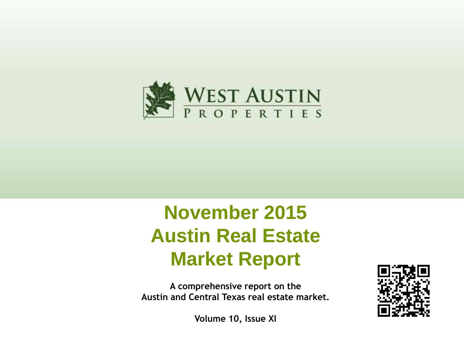

# **November 2015 Austin Real Estate Market Report**

**A comprehensive report on the Austin and Central Texas real estate market.**



**Volume 10, Issue XI**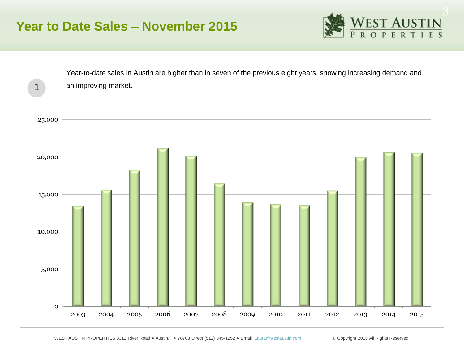### **Year to Date Sales – November 2015**

1



Year-to-date sales in Austin are higher than in seven of the previous eight years, showing increasing demand and an improving market.

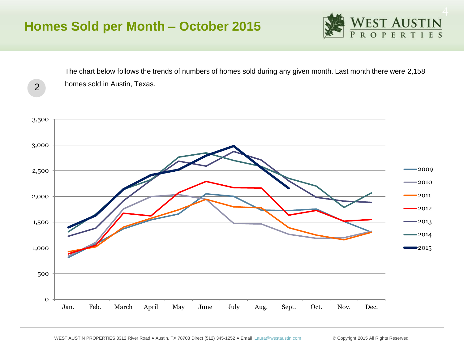2



The chart below follows the trends of numbers of homes sold during any given month. Last month there were 2,158 homes sold in Austin, Texas.

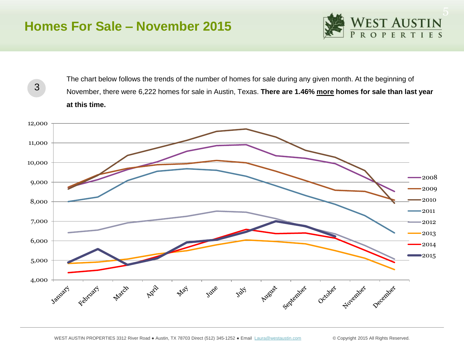### **Homes For Sale – November 2015**

3



The chart below follows the trends of the number of homes for sale during any given month. At the beginning of November, there were 6,222 homes for sale in Austin, Texas. **There are 1.46% more homes for sale than last year at this time.** 

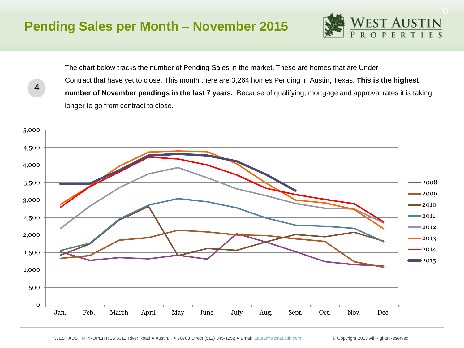#### **Pending Sales per Month – November 2015**

4



The chart below tracks the number of Pending Sales in the market. These are homes that are Under Contract that have yet to close. This month there are 3,264 homes Pending in Austin, Texas. **This is the highest number of November pendings in the last 7 years.** Because of qualifying, mortgage and approval rates it is taking longer to go from contract to close.

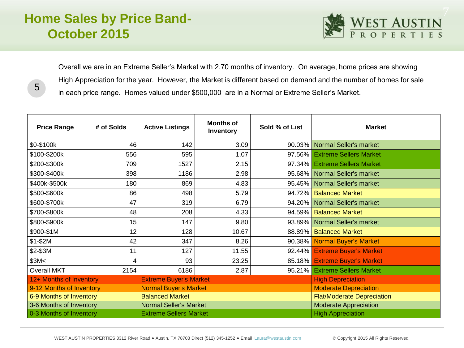# **Home Sales by Price Band-October 2015**

5



Overall we are in an Extreme Seller's Market with 2.70 months of inventory. On average, home prices are showing High Appreciation for the year. However, the Market is different based on demand and the number of homes for sale in each price range. Homes valued under \$500,000 are in a Normal or Extreme Seller's Market.

| <b>Price Range</b>       | # of Solds | <b>Active Listings</b>        | <b>Months of</b><br>Inventory | Sold % of List           | <b>Market</b>                     |  |
|--------------------------|------------|-------------------------------|-------------------------------|--------------------------|-----------------------------------|--|
| \$0-\$100k               | 46         | 142                           | 3.09                          | 90.03%                   | Normal Seller's market            |  |
| \$100-\$200k             | 556        | 595                           | 1.07                          | 97.56%                   | <b>Extreme Sellers Market</b>     |  |
| \$200-\$300k             | 709        | 1527                          | 2.15                          | 97.34%                   | <b>Extreme Sellers Market</b>     |  |
| \$300-\$400k             | 398        | 1186                          | 2.98                          | 95.68%                   | <b>Normal Seller's market</b>     |  |
| \$400k-\$500k            | 180        | 869                           | 4.83                          | 95.45%                   | <b>Normal Seller's market</b>     |  |
| \$500-\$600k             | 86         | 498                           | 5.79                          | 94.72%                   | <b>Balanced Market</b>            |  |
| \$600-\$700k             | 47         | 319                           | 6.79                          | 94.20%                   | Normal Seller's market            |  |
| \$700-\$800k             | 48         | 208                           | 4.33                          | 94.59%                   | <b>Balanced Market</b>            |  |
| \$800-\$900k             | 15         | 147                           | 9.80                          | 93.89%                   | <b>Normal Seller's market</b>     |  |
| \$900-\$1M               | 12         | 128                           | 10.67                         | 88.89%                   | <b>Balanced Market</b>            |  |
| $$1-$2M$                 | 42         | 347                           | 8.26                          | 90.38%                   | <b>Normal Buyer's Market</b>      |  |
| \$2-\$3M                 | 11         | 127                           | 11.55                         | $92.44\%$                | <b>Extreme Buyer's Market</b>     |  |
| \$3M<                    | 4          | 93                            | 23.25                         | $85.18\%$                | <b>Extreme Buyer's Market</b>     |  |
| <b>Overall MKT</b>       | 2154       | 6186                          | 2.87                          | 95.21%                   | <b>Extreme Sellers Market</b>     |  |
| 12+ Months of Inventory  |            | <b>Extreme Buyer's Market</b> |                               |                          | <b>High Depreciation</b>          |  |
| 9-12 Months of Inventory |            | <b>Normal Buyer's Market</b>  |                               |                          | <b>Moderate Depreciation</b>      |  |
| 6-9 Months of Inventory  |            | <b>Balanced Market</b>        |                               |                          | <b>Flat/Moderate Depreciation</b> |  |
| 3-6 Months of Inventory  |            | <b>Normal Seller's Market</b> |                               |                          | <b>Moderate Appreciation</b>      |  |
| 0-3 Months of Inventory  |            | <b>Extreme Sellers Market</b> |                               | <b>High Appreciation</b> |                                   |  |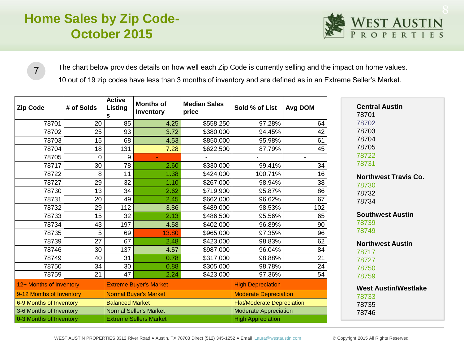# **Home Sales by Zip Code-October 2015**



The chart below provides details on how well each Zip Code is currently selling and the impact on home values.

10 out of 19 zip codes have less than 3 months of inventory and are defined as in an Extreme Seller's Market.

| <b>Zip Code</b>          | # of Solds | <b>Active</b><br>Listing<br>s | <b>Months of</b><br>Inventory | <b>Median Sales</b><br>price | Sold % of List                    | Avg DOM |
|--------------------------|------------|-------------------------------|-------------------------------|------------------------------|-----------------------------------|---------|
| 78701                    | 20         | 85                            | 4.25                          | \$558,250                    | 97.28%                            | 64      |
| 78702                    | 25         | 93                            | 3.72                          | \$380,000                    | 94.45%                            | 42      |
| 78703                    | 15         | 68                            | 4.53                          | \$850,000                    | 95.98%                            | 61      |
| 78704                    | 18         | 131                           | 7.28                          | \$622,500                    | 87.79%                            | 45      |
| 78705                    | 0          | 9                             |                               |                              |                                   |         |
| 78717                    | 30         | 78                            | 2.60                          | \$330,000                    | 99.41%                            | 34      |
| 78722                    | 8          | 11                            | 1.38                          | \$424,000                    | 100.71%                           | 16      |
| 78727                    | 29         | 32                            | 1.10                          | \$267,000                    | 98.94%                            | 38      |
| 78730                    | 13         | 34                            | 2.62                          | \$719,900                    | 95.87%                            | 86      |
| 78731                    | 20         | 49                            | 2.45                          | \$662,000                    | 96.62%                            | 67      |
| 78732                    | 29         | 112                           | 3.86                          | \$489,000                    | 98.53%                            | 102     |
| 78733                    | 15         | 32                            | 2.13                          | \$486,500                    | 95.56%                            | 65      |
| 78734                    | 43         | 197                           | 4.58                          | \$402,000                    | 96.89%                            | 90      |
| 78735                    | 5          | 69                            | 13.80                         | \$965,000                    | 97.35%                            | 96      |
| 78739                    | 27         | 67                            | 2.48                          | \$423,000                    | 98.83%                            | 62      |
| 78746                    | 30         | 137                           | 4.57                          | \$987,000                    | 96.04%                            | 84      |
| 78749                    | 40         | 31                            | 0.78                          | \$317,000                    | 98.88%                            | 21      |
| 78750                    | 34         | 30                            | 0.88                          | \$305,000                    | 98.78%                            | 24      |
| 78759                    | 21         | 47                            | 2.24                          | \$423,000                    | 97.36%                            | 54      |
| 12+ Months of Inventory  |            | <b>Extreme Buyer's Market</b> |                               |                              | <b>High Depreciation</b>          |         |
| 9-12 Months of Inventory |            | <b>Normal Buyer's Market</b>  |                               |                              | <b>Moderate Depreciation</b>      |         |
| 6-9 Months of Inventory  |            | <b>Balanced Market</b>        |                               |                              | <b>Flat/Moderate Depreciation</b> |         |
| 3-6 Months of Inventory  |            | <b>Normal Seller's Market</b> |                               |                              | <b>Moderate Appreciation</b>      |         |
| 0-3 Months of Inventory  |            | <b>Extreme Sellers Market</b> |                               |                              | <b>High Appreciation</b>          |         |

WEST AUSTIN PROPERTIES 3312 River Road · Austin, TX 78703 Direct (512) 345-1252 · Email [Laura@westaustin.com](mailto:Laura@westaustin.com) © Copyright 2015 All Rights Reserved.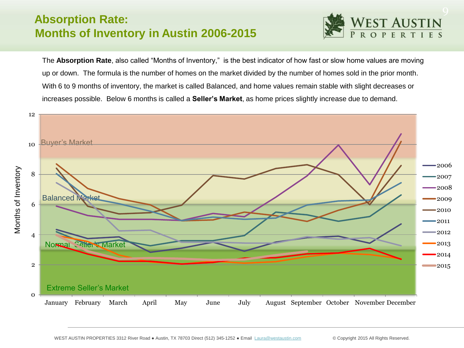#### **Absorption Rate: Months of Inventory in Austin 2006-2015**



The **Absorption Rate**, also called "Months of Inventory," is the best indicator of how fast or slow home values are moving up or down. The formula is the number of homes on the market divided by the number of homes sold in the prior month. With 6 to 9 months of inventory, the market is called Balanced, and home values remain stable with slight decreases or increases possible. Below 6 months is called a **Seller's Market**, as home prices slightly increase due to demand.

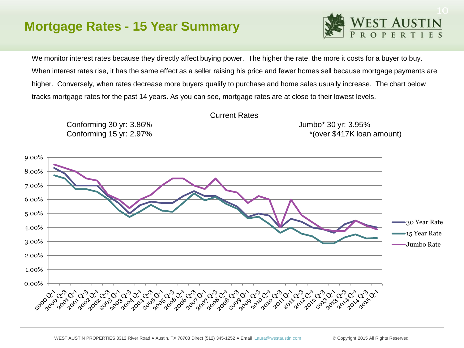## **Mortgage Rates - 15 Year Summary**



We monitor interest rates because they directly affect buying power. The higher the rate, the more it costs for a buyer to buy. When interest rates rise, it has the same effect as a seller raising his price and fewer homes sell because mortgage payments are higher. Conversely, when rates decrease more buyers qualify to purchase and home sales usually increase. The chart below tracks mortgage rates for the past 14 years. As you can see, mortgage rates are at close to their lowest levels.



Current Rates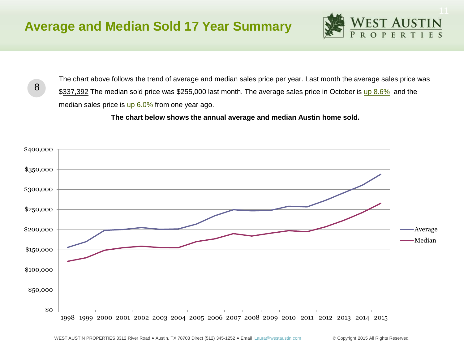

8

The chart above follows the trend of average and median sales price per year. Last month the average sales price was \$337,392 The median sold price was \$255,000 last month. The average sales price in October is up 8.6% and the median sales price is up 6.0% from one year ago.

 **The chart below shows the annual average and median Austin home sold.** 

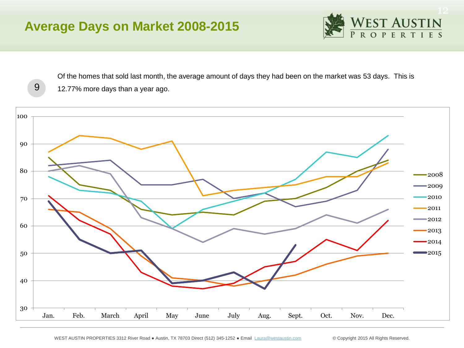# **Average Days on Market 2008-2015**



Of the homes that sold last month, the average amount of days they had been on the market was 53 days. This is 12.77% more days than a year ago.